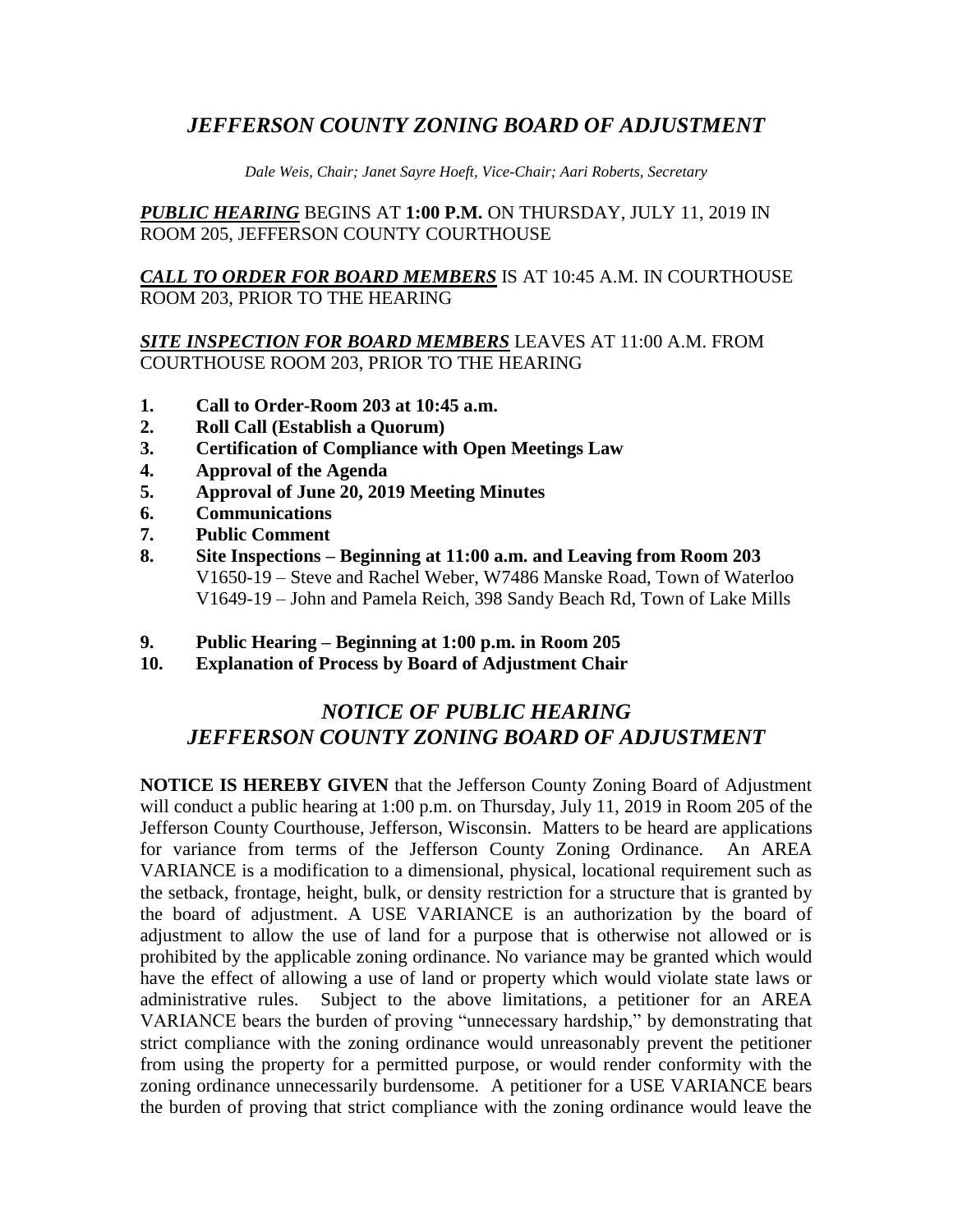# *JEFFERSON COUNTY ZONING BOARD OF ADJUSTMENT*

*Dale Weis, Chair; Janet Sayre Hoeft, Vice-Chair; Aari Roberts, Secretary*

## *PUBLIC HEARING* BEGINS AT **1:00 P.M.** ON THURSDAY, JULY 11, 2019 IN ROOM 205, JEFFERSON COUNTY COURTHOUSE

*CALL TO ORDER FOR BOARD MEMBERS* IS AT 10:45 A.M. IN COURTHOUSE ROOM 203, PRIOR TO THE HEARING

#### *SITE INSPECTION FOR BOARD MEMBERS* LEAVES AT 11:00 A.M. FROM COURTHOUSE ROOM 203, PRIOR TO THE HEARING

- **1. Call to Order-Room 203 at 10:45 a.m.**
- **2. Roll Call (Establish a Quorum)**
- **3. Certification of Compliance with Open Meetings Law**
- **4. Approval of the Agenda**
- **5. Approval of June 20, 2019 Meeting Minutes**
- **6. Communications**
- **7. Public Comment**
- **8. Site Inspections – Beginning at 11:00 a.m. and Leaving from Room 203** V1650-19 – Steve and Rachel Weber, W7486 Manske Road, Town of Waterloo V1649-19 – John and Pamela Reich, 398 Sandy Beach Rd, Town of Lake Mills
- **9. Public Hearing – Beginning at 1:00 p.m. in Room 205**
- **10. Explanation of Process by Board of Adjustment Chair**

# *NOTICE OF PUBLIC HEARING JEFFERSON COUNTY ZONING BOARD OF ADJUSTMENT*

**NOTICE IS HEREBY GIVEN** that the Jefferson County Zoning Board of Adjustment will conduct a public hearing at 1:00 p.m. on Thursday, July 11, 2019 in Room 205 of the Jefferson County Courthouse, Jefferson, Wisconsin. Matters to be heard are applications for variance from terms of the Jefferson County Zoning Ordinance. An AREA VARIANCE is a modification to a dimensional, physical, locational requirement such as the setback, frontage, height, bulk, or density restriction for a structure that is granted by the board of adjustment. A USE VARIANCE is an authorization by the board of adjustment to allow the use of land for a purpose that is otherwise not allowed or is prohibited by the applicable zoning ordinance. No variance may be granted which would have the effect of allowing a use of land or property which would violate state laws or administrative rules. Subject to the above limitations, a petitioner for an AREA VARIANCE bears the burden of proving "unnecessary hardship," by demonstrating that strict compliance with the zoning ordinance would unreasonably prevent the petitioner from using the property for a permitted purpose, or would render conformity with the zoning ordinance unnecessarily burdensome. A petitioner for a USE VARIANCE bears the burden of proving that strict compliance with the zoning ordinance would leave the